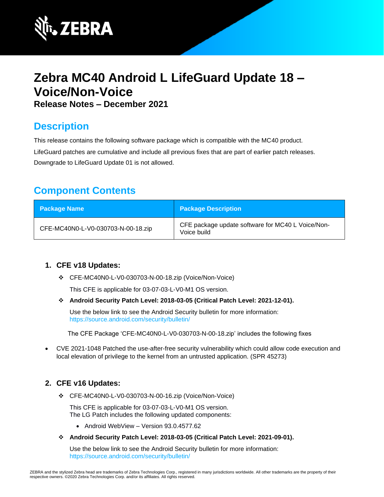

# **Zebra MC40 Android L LifeGuard Update 18 – Voice/Non-Voice Release Notes – December 2021**

# **Description**

This release contains the following software package which is compatible with the MC40 product.

LifeGuard patches are cumulative and include all previous fixes that are part of earlier patch releases. Downgrade to LifeGuard Update 01 is not allowed.

# **Component Contents**

| <b>Package Name</b>                | <b>Package Description</b>                                       |
|------------------------------------|------------------------------------------------------------------|
| CFE-MC40N0-L-V0-030703-N-00-18.zip | CFE package update software for MC40 L Voice/Non-<br>Voice build |

# **1. CFE v18 Updates:**

❖ CFE-MC40N0-L-V0-030703-N-00-18.zip (Voice/Non-Voice)

This CFE is applicable for 03-07-03-L-V0-M1 OS version.

❖ **Android Security Patch Level: 2018-03-05 (Critical Patch Level: 2021-12-01).**

Use the below link to see the Android Security bulletin for more information: <https://source.android.com/security/bulletin/>

The CFE Package 'CFE-MC40N0-L-V0-030703-N-00-18.zip' includes the following fixes

• CVE 2021-1048 Patched the use-after-free security vulnerability which could allow code execution and local elevation of privilege to the kernel from an untrusted application. (SPR 45273)

# **2. CFE v16 Updates:**

❖ CFE-MC40N0-L-V0-030703-N-00-16.zip (Voice/Non-Voice)

This CFE is applicable for 03-07-03-L-V0-M1 OS version. The LG Patch includes the following updated components:

- Android WebView Version 93.0.4577.62
- ❖ **Android Security Patch Level: 2018-03-05 (Critical Patch Level: 2021-09-01).**

Use the below link to see the Android Security bulletin for more information: <https://source.android.com/security/bulletin/>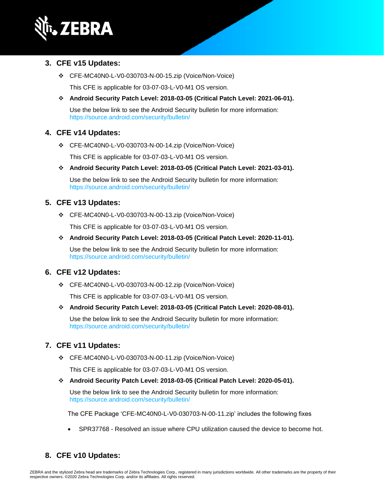

#### **3. CFE v15 Updates:**

❖ CFE-MC40N0-L-V0-030703-N-00-15.zip (Voice/Non-Voice)

This CFE is applicable for 03-07-03-L-V0-M1 OS version.

❖ **Android Security Patch Level: 2018-03-05 (Critical Patch Level: 2021-06-01).**

Use the below link to see the Android Security bulletin for more information: <https://source.android.com/security/bulletin/>

### **4. CFE v14 Updates:**

❖ CFE-MC40N0-L-V0-030703-N-00-14.zip (Voice/Non-Voice)

This CFE is applicable for 03-07-03-L-V0-M1 OS version.

❖ **Android Security Patch Level: 2018-03-05 (Critical Patch Level: 2021-03-01).**

Use the below link to see the Android Security bulletin for more information: <https://source.android.com/security/bulletin/>

#### **5. CFE v13 Updates:**

❖ CFE-MC40N0-L-V0-030703-N-00-13.zip (Voice/Non-Voice)

This CFE is applicable for 03-07-03-L-V0-M1 OS version.

❖ **Android Security Patch Level: 2018-03-05 (Critical Patch Level: 2020-11-01).**

Use the below link to see the Android Security bulletin for more information: <https://source.android.com/security/bulletin/>

### **6. CFE v12 Updates:**

❖ CFE-MC40N0-L-V0-030703-N-00-12.zip (Voice/Non-Voice)

This CFE is applicable for 03-07-03-L-V0-M1 OS version.

❖ **Android Security Patch Level: 2018-03-05 (Critical Patch Level: 2020-08-01).**

Use the below link to see the Android Security bulletin for more information: <https://source.android.com/security/bulletin/>

### **7. CFE v11 Updates:**

❖ CFE-MC40N0-L-V0-030703-N-00-11.zip (Voice/Non-Voice)

This CFE is applicable for 03-07-03-L-V0-M1 OS version.

❖ **Android Security Patch Level: 2018-03-05 (Critical Patch Level: 2020-05-01).**

Use the below link to see the Android Security bulletin for more information: <https://source.android.com/security/bulletin/>

The CFE Package 'CFE-MC40N0-L-V0-030703-N-00-11.zip' includes the following fixes

• SPR37768 - Resolved an issue where CPU utilization caused the device to become hot.

# **8. CFE v10 Updates:**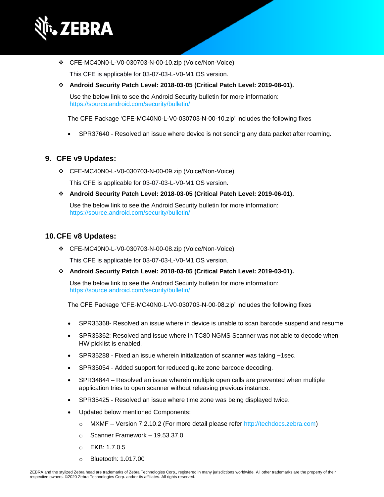

❖ CFE-MC40N0-L-V0-030703-N-00-10.zip (Voice/Non-Voice)

This CFE is applicable for 03-07-03-L-V0-M1 OS version.

❖ **Android Security Patch Level: 2018-03-05 (Critical Patch Level: 2019-08-01).**

Use the below link to see the Android Security bulletin for more information: <https://source.android.com/security/bulletin/>

The CFE Package 'CFE-MC40N0-L-V0-030703-N-00-10.zip' includes the following fixes

• SPR37640 - Resolved an issue where device is not sending any data packet after roaming.

#### **9. CFE v9 Updates:**

❖ CFE-MC40N0-L-V0-030703-N-00-09.zip (Voice/Non-Voice)

This CFE is applicable for 03-07-03-L-V0-M1 OS version.

❖ **Android Security Patch Level: 2018-03-05 (Critical Patch Level: 2019-06-01).**

Use the below link to see the Android Security bulletin for more information: <https://source.android.com/security/bulletin/>

#### **10.CFE v8 Updates:**

❖ CFE-MC40N0-L-V0-030703-N-00-08.zip (Voice/Non-Voice)

This CFE is applicable for 03-07-03-L-V0-M1 OS version.

❖ **Android Security Patch Level: 2018-03-05 (Critical Patch Level: 2019-03-01).**

Use the below link to see the Android Security bulletin for more information: <https://source.android.com/security/bulletin/>

The CFE Package 'CFE-MC40N0-L-V0-030703-N-00-08.zip' includes the following fixes

- SPR35368- Resolved an issue where in device is unable to scan barcode suspend and resume.
- SPR35362: Resolved and issue where in TC80 NGMS Scanner was not able to decode when HW picklist is enabled.
- SPR35288 Fixed an issue wherein initialization of scanner was taking ~1sec.
- SPR35054 Added support for reduced quite zone barcode decoding.
- SPR34844 Resolved an issue wherein multiple open calls are prevented when multiple application tries to open scanner without releasing previous instance.
- SPR35425 Resolved an issue where time zone was being displayed twice.
- Updated below mentioned Components:
	- o MXMF Version 7.2.10.2 (For more detail please refer [http://techdocs.zebra.com\)](http://techdocs.zebra.com/)
	- o Scanner Framework 19.53.37.0
	- o EKB: 1.7.0.5
	- o Bluetooth: 1.017.00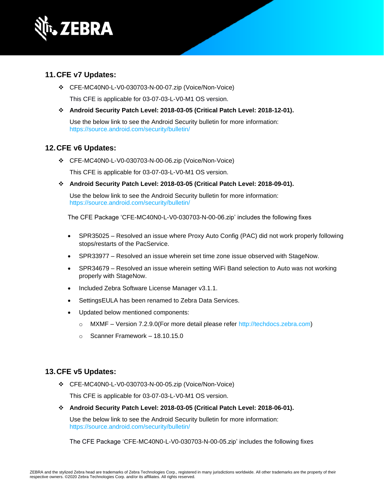

#### **11.CFE v7 Updates:**

❖ CFE-MC40N0-L-V0-030703-N-00-07.zip (Voice/Non-Voice)

This CFE is applicable for 03-07-03-L-V0-M1 OS version.

❖ **Android Security Patch Level: 2018-03-05 (Critical Patch Level: 2018-12-01).**

Use the below link to see the Android Security bulletin for more information: <https://source.android.com/security/bulletin/>

#### **12.CFE v6 Updates:**

❖ CFE-MC40N0-L-V0-030703-N-00-06.zip (Voice/Non-Voice)

This CFE is applicable for 03-07-03-L-V0-M1 OS version.

❖ **Android Security Patch Level: 2018-03-05 (Critical Patch Level: 2018-09-01).**

Use the below link to see the Android Security bulletin for more information: <https://source.android.com/security/bulletin/>

The CFE Package 'CFE-MC40N0-L-V0-030703-N-00-06.zip' includes the following fixes

- SPR35025 Resolved an issue where Proxy Auto Config (PAC) did not work properly following stops/restarts of the PacService.
- SPR33977 Resolved an issue wherein set time zone issue observed with StageNow.
- SPR34679 Resolved an issue wherein setting WiFi Band selection to Auto was not working properly with StageNow.
- Included Zebra Software License Manager v3.1.1.
- SettingsEULA has been renamed to Zebra Data Services.
- Updated below mentioned components:
	- o MXMF Version 7.2.9.0(For more detail please refer [http://techdocs.zebra.com\)](http://techdocs.zebra.com/)
	- $\circ$  Scanner Framework 18.10.15.0

#### **13.CFE v5 Updates:**

❖ CFE-MC40N0-L-V0-030703-N-00-05.zip (Voice/Non-Voice)

This CFE is applicable for 03-07-03-L-V0-M1 OS version.

❖ **Android Security Patch Level: 2018-03-05 (Critical Patch Level: 2018-06-01).**

Use the below link to see the Android Security bulletin for more information: <https://source.android.com/security/bulletin/>

The CFE Package 'CFE-MC40N0-L-V0-030703-N-00-05.zip' includes the following fixes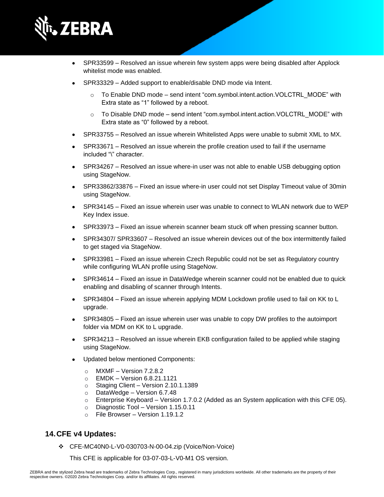

- SPR33599 Resolved an issue wherein few system apps were being disabled after Applock whitelist mode was enabled.
- SPR33329 Added support to enable/disable DND mode via Intent.
	- o To Enable DND mode send intent "com.symbol.intent.action.VOLCTRL\_MODE" with Extra state as "1" followed by a reboot.
	- To Disable DND mode send intent "com.symbol.intent.action.VOLCTRL\_MODE" with Extra state as "0" followed by a reboot.
- SPR33755 Resolved an issue wherein Whitelisted Apps were unable to submit XML to MX.
- SPR33671 Resolved an issue wherein the profile creation used to fail if the username included "\" character.
- SPR34267 Resolved an issue where-in user was not able to enable USB debugging option using StageNow.
- SPR33862/33876 Fixed an issue where-in user could not set Display Timeout value of 30min using StageNow.
- SPR34145 Fixed an issue wherein user was unable to connect to WLAN network due to WEP Key Index issue.
- SPR33973 Fixed an issue wherein scanner beam stuck off when pressing scanner button.
- SPR34307/ SPR33607 Resolved an issue wherein devices out of the box intermittently failed to get staged via StageNow.
- SPR33981 Fixed an issue wherein Czech Republic could not be set as Regulatory country while configuring WLAN profile using StageNow.
- SPR34614 Fixed an issue in DataWedge wherein scanner could not be enabled due to quick enabling and disabling of scanner through Intents.
- SPR34804 Fixed an issue wherein applying MDM Lockdown profile used to fail on KK to L upgrade.
- SPR34805 Fixed an issue wherein user was unable to copy DW profiles to the autoimport folder via MDM on KK to L upgrade.
- SPR34213 Resolved an issue wherein EKB configuration failed to be applied while staging using StageNow.
- Updated below mentioned Components:
	- $\circ$  MXMF Version 7.2.8.2
	- o EMDK Version 6.8.21.1121
	- o Staging Client Version 2.10.1.1389
	- o DataWedge Version 6.7.48
	- $\circ$  Enterprise Keyboard Version 1.7.0.2 (Added as an System application with this CFE 05).
	- o Diagnostic Tool Version 1.15.0.11
	- o File Browser Version 1.19.1.2

### **14.CFE v4 Updates:**

❖ CFE-MC40N0-L-V0-030703-N-00-04.zip (Voice/Non-Voice)

This CFE is applicable for 03-07-03-L-V0-M1 OS version.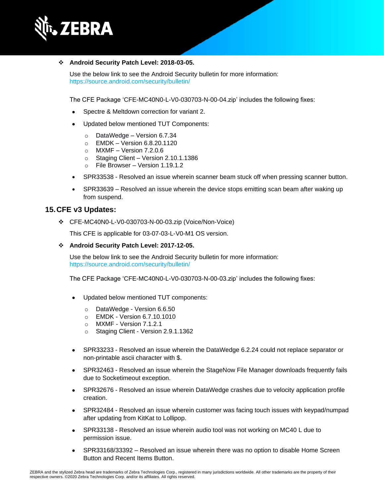

#### ❖ **Android Security Patch Level: 2018-03-05.**

Use the below link to see the Android Security bulletin for more information: <https://source.android.com/security/bulletin/>

The CFE Package 'CFE-MC40N0-L-V0-030703-N-00-04.zip' includes the following fixes:

- Spectre & Meltdown correction for variant 2.
- Updated below mentioned TUT Components:
	- o DataWedge Version 6.7.34
	- o EMDK Version 6.8.20.1120
	- $\circ$  MXMF Version 7.2.0.6
	- o Staging Client Version 2.10.1.1386
	- o File Browser Version 1.19.1.2
- SPR33538 Resolved an issue wherein scanner beam stuck off when pressing scanner button.
- SPR33639 Resolved an issue wherein the device stops emitting scan beam after waking up from suspend.

#### **15.CFE v3 Updates:**

❖ CFE-MC40N0-L-V0-030703-N-00-03.zip (Voice/Non-Voice)

This CFE is applicable for 03-07-03-L-V0-M1 OS version.

❖ **Android Security Patch Level: 2017-12-05.**

Use the below link to see the Android Security bulletin for more information: <https://source.android.com/security/bulletin/>

The CFE Package 'CFE-MC40N0-L-V0-030703-N-00-03.zip' includes the following fixes:

- Updated below mentioned TUT components:
	- o DataWedge Version 6.6.50
	- o EMDK Version 6.7.10.1010
	- o MXMF Version 7.1.2.1
	- o Staging Client Version 2.9.1.1362
- SPR33233 Resolved an issue wherein the DataWedge 6.2.24 could not replace separator or non-printable ascii character with \$.
- SPR32463 Resolved an issue wherein the StageNow File Manager downloads frequently fails due to Socketimeout exception.
- SPR32676 Resolved an issue wherein DataWedge crashes due to velocity application profile creation.
- SPR32484 Resolved an issue wherein customer was facing touch issues with keypad/numpad after updating from KitKat to Lollipop.
- SPR33138 Resolved an issue wherein audio tool was not working on MC40 L due to permission issue.
- SPR33168/33392 Resolved an issue wherein there was no option to disable Home Screen Button and Recent Items Button.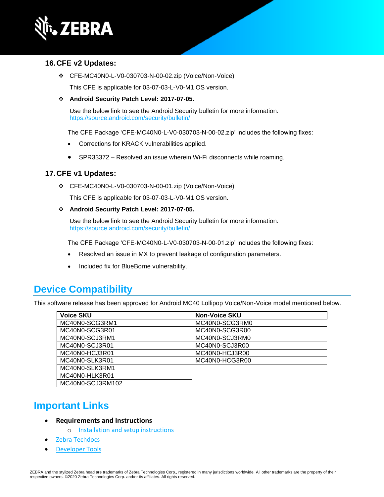

#### **16.CFE v2 Updates:**

❖ CFE-MC40N0-L-V0-030703-N-00-02.zip (Voice/Non-Voice)

This CFE is applicable for 03-07-03-L-V0-M1 OS version.

❖ **Android Security Patch Level: 2017-07-05.**

Use the below link to see the Android Security bulletin for more information: <https://source.android.com/security/bulletin/>

The CFE Package 'CFE-MC40N0-L-V0-030703-N-00-02.zip' includes the following fixes:

- Corrections for KRACK vulnerabilities applied.
- SPR33372 Resolved an issue wherein Wi-Fi disconnects while roaming.

### **17.CFE v1 Updates:**

❖ CFE-MC40N0-L-V0-030703-N-00-01.zip (Voice/Non-Voice)

This CFE is applicable for 03-07-03-L-V0-M1 OS version.

❖ **Android Security Patch Level: 2017-07-05.**

Use the below link to see the Android Security bulletin for more information: <https://source.android.com/security/bulletin/>

The CFE Package 'CFE-MC40N0-L-V0-030703-N-00-01.zip' includes the following fixes:

- Resolved an issue in MX to prevent leakage of configuration parameters.
- Included fix for BlueBorne vulnerability.

# **Device Compatibility**

This software release has been approved for Android MC40 Lollipop Voice/Non-Voice model mentioned below.

| <b>Voice SKU</b> | <b>Non-Voice SKU</b> |
|------------------|----------------------|
| MC40N0-SCG3RM1   | MC40N0-SCG3RM0       |
| MC40N0-SCG3R01   | MC40N0-SCG3R00       |
| MC40N0-SCJ3RM1   | MC40N0-SCJ3RM0       |
| MC40N0-SCJ3R01   | MC40N0-SCJ3R00       |
| MC40N0-HCJ3R01   | MC40N0-HCJ3R00       |
| MC40N0-SLK3R01   | MC40N0-HCG3R00       |
| MC40N0-SLK3RM1   |                      |
| MC40N0-HLK3R01   |                      |
| MC40N0-SCJ3RM102 |                      |

# **Important Links**

- **Requirements and Instructions** 
	- o [Installation and setup instructions](https://www.zebra.com/content/dam/zebra_new_ia/en-us/software/operating-system/mc40-operating-system/mc40-l-os-update-instructions.pdf)
- [Zebra Techdocs](https://techdocs.zebra.com/)
- **[Developer Tools](https://developer.zebra.com/)**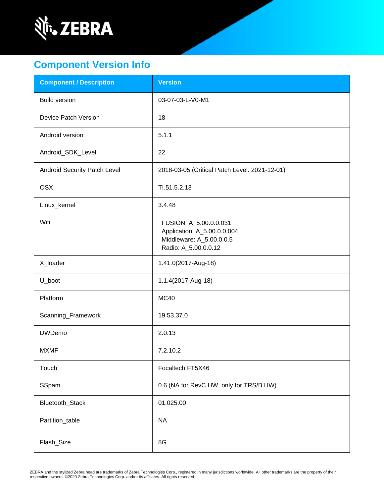

# **Component Version Info**

| <b>Component / Description</b> | <b>Version</b>                                                                                           |
|--------------------------------|----------------------------------------------------------------------------------------------------------|
| <b>Build version</b>           | 03-07-03-L-V0-M1                                                                                         |
| Device Patch Version           | 18                                                                                                       |
| Android version                | 5.1.1                                                                                                    |
| Android_SDK_Level              | 22                                                                                                       |
| Android Security Patch Level   | 2018-03-05 (Critical Patch Level: 2021-12-01)                                                            |
| <b>OSX</b>                     | TI.51.5.2.13                                                                                             |
| Linux_kernel                   | 3.4.48                                                                                                   |
| Wifi                           | FUSION_A_5.00.0.0.031<br>Application: A_5.00.0.0.004<br>Middleware: A_5.00.0.0.5<br>Radio: A_5.00.0.0.12 |
| X_loader                       | 1.41.0(2017-Aug-18)                                                                                      |
| U_boot                         | 1.1.4(2017-Aug-18)                                                                                       |
| Platform                       | <b>MC40</b>                                                                                              |
| Scanning_Framework             | 19.53.37.0                                                                                               |
| <b>DWDemo</b>                  | 2.0.13                                                                                                   |
| <b>MXMF</b>                    | 7.2.10.2                                                                                                 |
| Touch                          | Focaltech FT5X46                                                                                         |
| SSpam                          | 0.6 (NA for RevC HW, only for TRS/B HW)                                                                  |
| Bluetooth_Stack                | 01.025.00                                                                                                |
| Partition_table                | <b>NA</b>                                                                                                |
| Flash_Size                     | 8G                                                                                                       |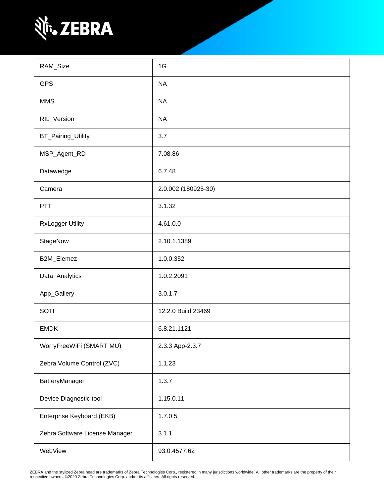

| RAM_Size                       | 1G                  |
|--------------------------------|---------------------|
| <b>GPS</b>                     | <b>NA</b>           |
| <b>MMS</b>                     | <b>NA</b>           |
| RIL_Version                    | <b>NA</b>           |
| BT_Pairing_Utility             | 3.7                 |
| MSP_Agent_RD                   | 7.08.86             |
| Datawedge                      | 6.7.48              |
| Camera                         | 2.0.002 (180925-30) |
| PTT                            | 3.1.32              |
| <b>RxLogger Utility</b>        | 4.61.0.0            |
| StageNow                       | 2.10.1.1389         |
| B2M_Elemez                     | 1.0.0.352           |
| Data_Analytics                 | 1.0.2.2091          |
| App_Gallery                    | 3.0.1.7             |
| <b>SOTI</b>                    | 12.2.0 Build 23469  |
| <b>EMDK</b>                    | 6.8.21.1121         |
| WorryFreeWiFi (SMART MU)       | 2.3.3 App-2.3.7     |
| Zebra Volume Control (ZVC)     | 1.1.23              |
| BatteryManager                 | 1.3.7               |
| Device Diagnostic tool         | 1.15.0.11           |
| Enterprise Keyboard (EKB)      | 1.7.0.5             |
| Zebra Software License Manager | 3.1.1               |
| WebView                        | 93.0.4577.62        |

ZEBRA and the stylized Zebra head are trademarks of Zebra Technologies Corp., registered in many jurisdictions worldwide. All other trademarks are the property of their<br>respective owners. ©2020 Zebra Technologies Corp. and